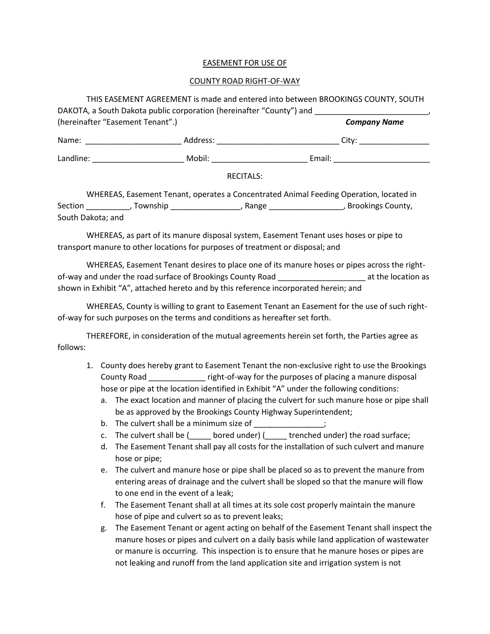## EASEMENT FOR USE OF

## COUNTY ROAD RIGHT-OF-WAY

| (hereinafter "Easement Tenant".)                                                                                                                                                                                                     |                                                                                                                | <b>Company Name</b>         |
|--------------------------------------------------------------------------------------------------------------------------------------------------------------------------------------------------------------------------------------|----------------------------------------------------------------------------------------------------------------|-----------------------------|
|                                                                                                                                                                                                                                      |                                                                                                                | City: _____________________ |
| Landline: <u>contract and the set of the set of the set of the set of the set of the set of the set of the set of the set of the set of the set of the set of the set of the set of the set of the set of the set of the set of </u> | Mobil: will be a series of the series of the series of the series of the series of the series of the series of |                             |
|                                                                                                                                                                                                                                      | <b>RECITALS:</b>                                                                                               |                             |

It Tenant, operates a Concentrated Animal Feeding Operatio Section \_\_\_\_\_\_\_\_\_\_\_, Township \_\_\_\_\_\_\_\_\_\_\_\_\_\_\_\_\_\_, Range \_\_\_\_\_\_\_\_\_\_\_\_\_\_\_\_\_\_\_\_, Brookings County, South Dakota; and

WHEREAS, as part of its manure disposal system, Easement Tenant uses hoses or pipe to transport manure to other locations for purposes of treatment or disposal; and

WHEREAS, Easement Tenant desires to place one of its manure hoses or pipes across the rightof-way and under the road surface of Brookings County Road \_\_\_\_\_\_\_\_\_\_\_\_\_\_\_\_\_\_\_\_ at the location as shown in Exhibit "A", attached hereto and by this reference incorporated herein; and

WHEREAS, County is willing to grant to Easement Tenant an Easement for the use of such rightof-way for such purposes on the terms and conditions as hereafter set forth.

THEREFORE, in consideration of the mutual agreements herein set forth, the Parties agree as follows:

- 1. County does hereby grant to Easement Tenant the non-exclusive right to use the Brookings County Road \_\_\_\_\_\_\_\_\_\_\_\_\_ right-of-way for the purposes of placing a manure disposal hose or pipe at the location identified in Exhibit "A" under the following conditions:
	- a. The exact location and manner of placing the culvert for such manure hose or pipe shall be as approved by the Brookings County Highway Superintendent;
	- b. The culvert shall be a minimum size of  $\hspace{1cm}$ ;
	- c. The culvert shall be (\_\_\_\_\_ bored under) (\_\_\_\_\_ trenched under) the road surface;
	- d. The Easement Tenant shall pay all costs for the installation of such culvert and manure hose or pipe;
	- e. The culvert and manure hose or pipe shall be placed so as to prevent the manure from entering areas of drainage and the culvert shall be sloped so that the manure will flow to one end in the event of a leak;
	- f. The Easement Tenant shall at all times at its sole cost properly maintain the manure hose of pipe and culvert so as to prevent leaks;
	- g. The Easement Tenant or agent acting on behalf of the Easement Tenant shall inspect the manure hoses or pipes and culvert on a daily basis while land application of wastewater or manure is occurring. This inspection is to ensure that he manure hoses or pipes are not leaking and runoff from the land application site and irrigation system is not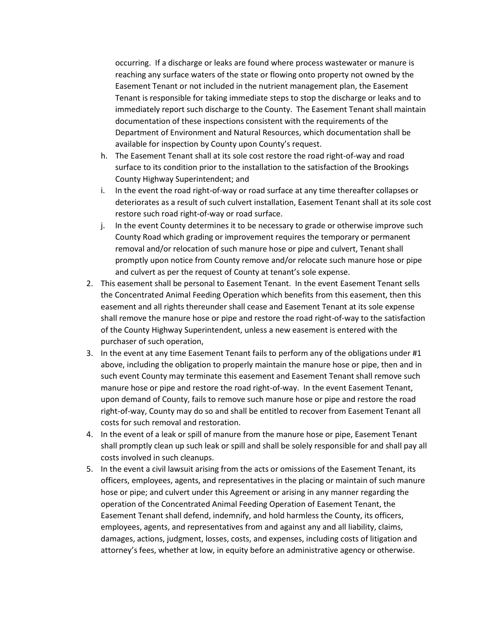occurring. If a discharge or leaks are found where process wastewater or manure is reaching any surface waters of the state or flowing onto property not owned by the Easement Tenant or not included in the nutrient management plan, the Easement Tenant is responsible for taking immediate steps to stop the discharge or leaks and to immediately report such discharge to the County. The Easement Tenant shall maintain documentation of these inspections consistent with the requirements of the Department of Environment and Natural Resources, which documentation shall be available for inspection by County upon County's request.

- h. The Easement Tenant shall at its sole cost restore the road right-of-way and road surface to its condition prior to the installation to the satisfaction of the Brookings County Highway Superintendent; and
- i. In the event the road right-of-way or road surface at any time thereafter collapses or deteriorates as a result of such culvert installation, Easement Tenant shall at its sole cost restore such road right-of-way or road surface.
- j. In the event County determines it to be necessary to grade or otherwise improve such County Road which grading or improvement requires the temporary or permanent removal and/or relocation of such manure hose or pipe and culvert, Tenant shall promptly upon notice from County remove and/or relocate such manure hose or pipe and culvert as per the request of County at tenant's sole expense.
- 2. This easement shall be personal to Easement Tenant. In the event Easement Tenant sells the Concentrated Animal Feeding Operation which benefits from this easement, then this easement and all rights thereunder shall cease and Easement Tenant at its sole expense shall remove the manure hose or pipe and restore the road right-of-way to the satisfaction of the County Highway Superintendent, unless a new easement is entered with the purchaser of such operation,
- 3. In the event at any time Easement Tenant fails to perform any of the obligations under #1 above, including the obligation to properly maintain the manure hose or pipe, then and in such event County may terminate this easement and Easement Tenant shall remove such manure hose or pipe and restore the road right-of-way. In the event Easement Tenant, upon demand of County, fails to remove such manure hose or pipe and restore the road right-of-way, County may do so and shall be entitled to recover from Easement Tenant all costs for such removal and restoration.
- 4. In the event of a leak or spill of manure from the manure hose or pipe, Easement Tenant shall promptly clean up such leak or spill and shall be solely responsible for and shall pay all costs involved in such cleanups.
- 5. In the event a civil lawsuit arising from the acts or omissions of the Easement Tenant, its officers, employees, agents, and representatives in the placing or maintain of such manure hose or pipe; and culvert under this Agreement or arising in any manner regarding the operation of the Concentrated Animal Feeding Operation of Easement Tenant, the Easement Tenant shall defend, indemnify, and hold harmless the County, its officers, employees, agents, and representatives from and against any and all liability, claims, damages, actions, judgment, losses, costs, and expenses, including costs of litigation and attorney's fees, whether at low, in equity before an administrative agency or otherwise.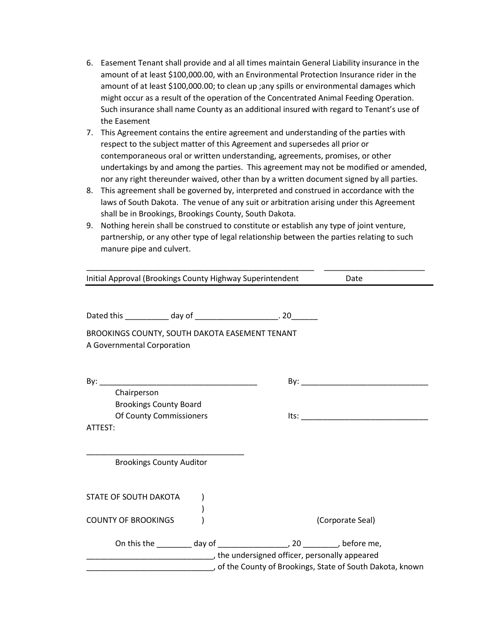- 6. Easement Tenant shall provide and al all times maintain General Liability insurance in the amount of at least \$100,000.00, with an Environmental Protection Insurance rider in the amount of at least \$100,000.00; to clean up ;any spills or environmental damages which might occur as a result of the operation of the Concentrated Animal Feeding Operation. Such insurance shall name County as an additional insured with regard to Tenant's use of the Easement
- 7. This Agreement contains the entire agreement and understanding of the parties with respect to the subject matter of this Agreement and supersedes all prior or contemporaneous oral or written understanding, agreements, promises, or other undertakings by and among the parties. This agreement may not be modified or amended, nor any right thereunder waived, other than by a written document signed by all parties.
- 8. This agreement shall be governed by, interpreted and construed in accordance with the laws of South Dakota. The venue of any suit or arbitration arising under this Agreement shall be in Brookings, Brookings County, South Dakota.
- 9. Nothing herein shall be construed to constitute or establish any type of joint venture, partnership, or any other type of legal relationship between the parties relating to such manure pipe and culvert.

| Initial Approval (Brookings County Highway Superintendent                                     | Date                                                     |
|-----------------------------------------------------------------------------------------------|----------------------------------------------------------|
| Dated this _____________ day of ________________________. 20________                          |                                                          |
| BROOKINGS COUNTY, SOUTH DAKOTA EASEMENT TENANT<br>A Governmental Corporation                  |                                                          |
| Chairperson                                                                                   |                                                          |
| <b>Brookings County Board</b><br>Of County Commissioners                                      | Its:                                                     |
| ATTEST:                                                                                       |                                                          |
| <b>Brookings County Auditor</b>                                                               |                                                          |
| STATE OF SOUTH DAKOTA                                                                         |                                                          |
| <b>COUNTY OF BROOKINGS</b>                                                                    | (Corporate Seal)                                         |
| the undersigned officer, personally appeared (in the undersigned officer, personally appeared | of the County of Brookings, State of South Dakota, known |